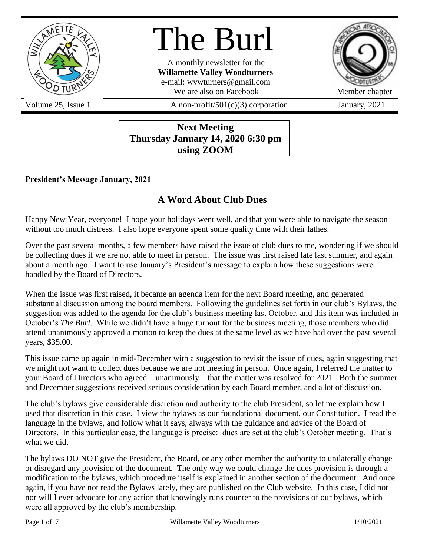

# The Burl

A monthly newsletter for the **Willamette Valley Woodturners** e-mail: wvwturners@gmail.com We are also on Facebook Member chapter



Volume 25, Issue 1  $\alpha$  A non-profit/501(c)(3) corporation January, 2021

**Next Meeting Thursday January 14, 2020 6:30 pm using ZOOM**

### **President's Message January, 2021**

# **A Word About Club Dues**

Happy New Year, everyone! I hope your holidays went well, and that you were able to navigate the season without too much distress. I also hope everyone spent some quality time with their lathes.

Over the past several months, a few members have raised the issue of club dues to me, wondering if we should be collecting dues if we are not able to meet in person. The issue was first raised late last summer, and again about a month ago. I want to use January's President's message to explain how these suggestions were handled by the Board of Directors.

When the issue was first raised, it became an agenda item for the next Board meeting, and generated substantial discussion among the board members. Following the guidelines set forth in our club's Bylaws, the suggestion was added to the agenda for the club's business meeting last October, and this item was included in October's *The Burl*. While we didn't have a huge turnout for the business meeting, those members who did attend unanimously approved a motion to keep the dues at the same level as we have had over the past several years, \$35.00.

This issue came up again in mid-December with a suggestion to revisit the issue of dues, again suggesting that we might not want to collect dues because we are not meeting in person. Once again, I referred the matter to your Board of Directors who agreed – unanimously – that the matter was resolved for 2021. Both the summer and December suggestions received serious consideration by each Board member, and a lot of discussion.

The club's bylaws give considerable discretion and authority to the club President, so let me explain how I used that discretion in this case. I view the bylaws as our foundational document, our Constitution. I read the language in the bylaws, and follow what it says, always with the guidance and advice of the Board of Directors. In this particular case, the language is precise: dues are set at the club's October meeting. That's what we did.

The bylaws DO NOT give the President, the Board, or any other member the authority to unilaterally change or disregard any provision of the document. The only way we could change the dues provision is through a modification to the bylaws, which procedure itself is explained in another section of the document. And once again, if you have not read the Bylaws lately, they are published on the Club website. In this case, I did not nor will I ever advocate for any action that knowingly runs counter to the provisions of our bylaws, which were all approved by the club's membership.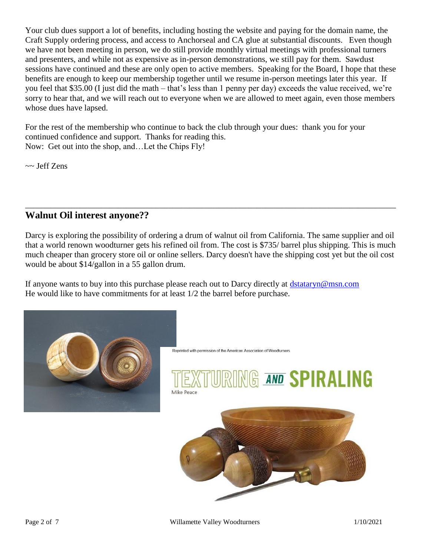Your club dues support a lot of benefits, including hosting the website and paying for the domain name, the Craft Supply ordering process, and access to Anchorseal and CA glue at substantial discounts. Even though we have not been meeting in person, we do still provide monthly virtual meetings with professional turners and presenters, and while not as expensive as in-person demonstrations, we still pay for them. Sawdust sessions have continued and these are only open to active members. Speaking for the Board, I hope that these benefits are enough to keep our membership together until we resume in-person meetings later this year. If you feel that \$35.00 (I just did the math – that's less than 1 penny per day) exceeds the value received, we're sorry to hear that, and we will reach out to everyone when we are allowed to meet again, even those members whose dues have lapsed.

For the rest of the membership who continue to back the club through your dues: thank you for your continued confidence and support. Thanks for reading this. Now: Get out into the shop, and…Let the Chips Fly!

 $\sim$  Jeff Zens

## **Walnut Oil interest anyone??**

Darcy is exploring the possibility of ordering a drum of walnut oil from California. The same supplier and oil that a world renown woodturner gets his refined oil from. The cost is \$735/ barrel plus shipping. This is much much cheaper than grocery store oil or online sellers. Darcy doesn't have the shipping cost yet but the oil cost would be about \$14/gallon in a 55 gallon drum.

\_\_\_\_\_\_\_\_\_\_\_\_\_\_\_\_\_\_\_\_\_\_\_\_\_\_\_\_\_\_\_\_\_\_\_\_\_\_\_\_\_\_\_\_\_\_\_\_\_\_\_\_\_\_\_\_\_\_\_\_\_\_\_\_\_\_\_\_\_\_\_\_\_\_\_\_\_\_\_\_\_\_\_\_\_\_\_\_

If anyone wants to buy into this purchase please reach out to Darcy directly at [dstataryn@msn.com](mailto:dstataryn@msn.com) He would like to have commitments for at least 1/2 the barrel before purchase.



Reprinted with permission of the American Association of Woodturners

# **G AND SPIRALING** Mike Peace

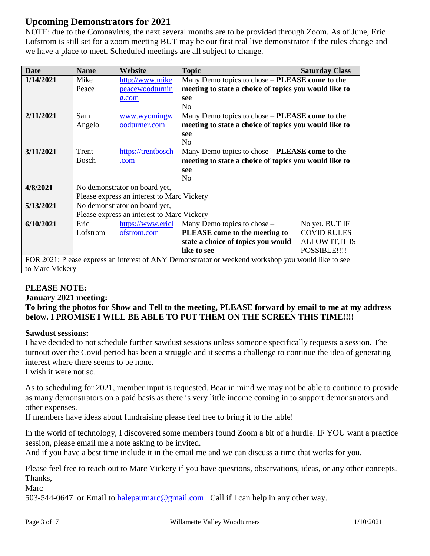# **Upcoming Demonstrators for 2021**

NOTE: due to the Coronavirus, the next several months are to be provided through Zoom. As of June, Eric Lofstrom is still set for a zoom meeting BUT may be our first real live demonstrator if the rules change and we have a place to meet. Scheduled meetings are all subject to change.

| <b>Date</b>                                                                                        | <b>Name</b>                   | Website                                    | <b>Topic</b>                                          | <b>Saturday Class</b>  |
|----------------------------------------------------------------------------------------------------|-------------------------------|--------------------------------------------|-------------------------------------------------------|------------------------|
| 1/14/2021                                                                                          | Mike                          | http://www.mike                            | Many Demo topics to chose - PLEASE come to the        |                        |
|                                                                                                    | Peace                         | peacewoodturnin                            | meeting to state a choice of topics you would like to |                        |
|                                                                                                    |                               | g.com                                      | see                                                   |                        |
|                                                                                                    |                               |                                            | N <sub>0</sub>                                        |                        |
| 2/11/2021                                                                                          | Sam                           | www.wyomingw                               | Many Demo topics to chose – PLEASE come to the        |                        |
|                                                                                                    | Angelo                        | oodturner.com                              | meeting to state a choice of topics you would like to |                        |
|                                                                                                    |                               |                                            | see                                                   |                        |
|                                                                                                    |                               |                                            | N <sub>o</sub>                                        |                        |
| 3/11/2021                                                                                          | Trent                         | https://trentbosch                         | Many Demo topics to chose – PLEASE come to the        |                        |
|                                                                                                    | <b>Bosch</b>                  | .com                                       | meeting to state a choice of topics you would like to |                        |
|                                                                                                    |                               |                                            | see                                                   |                        |
|                                                                                                    |                               |                                            | N <sub>0</sub>                                        |                        |
| 4/8/2021                                                                                           |                               | No demonstrator on board yet,              |                                                       |                        |
|                                                                                                    |                               | Please express an interest to Marc Vickery |                                                       |                        |
| 5/13/2021                                                                                          | No demonstrator on board yet, |                                            |                                                       |                        |
|                                                                                                    |                               | Please express an interest to Marc Vickery |                                                       |                        |
| 6/10/2021                                                                                          | Eric                          | https://www.ericl                          | Many Demo topics to chose -                           | No yet. BUT IF         |
|                                                                                                    | Lofstrom                      | ofstrom.com                                | PLEASE come to the meeting to                         | <b>COVID RULES</b>     |
|                                                                                                    |                               |                                            | state a choice of topics you would                    | <b>ALLOW IT, IT IS</b> |
|                                                                                                    |                               |                                            | like to see                                           | POSSIBLE!!!!           |
| FOR 2021: Please express an interest of ANY Demonstrator or weekend workshop you would like to see |                               |                                            |                                                       |                        |
| to Marc Vickery                                                                                    |                               |                                            |                                                       |                        |

### **PLEASE NOTE:**

**January 2021 meeting:**

**To bring the photos for Show and Tell to the meeting, PLEASE forward by email to me at my address below. I PROMISE I WILL BE ABLE TO PUT THEM ON THE SCREEN THIS TIME!!!!**

### **Sawdust sessions:**

I have decided to not schedule further sawdust sessions unless someone specifically requests a session. The turnout over the Covid period has been a struggle and it seems a challenge to continue the idea of generating interest where there seems to be none.

I wish it were not so.

As to scheduling for 2021, member input is requested. Bear in mind we may not be able to continue to provide as many demonstrators on a paid basis as there is very little income coming in to support demonstrators and other expenses.

If members have ideas about fundraising please feel free to bring it to the table!

In the world of technology, I discovered some members found Zoom a bit of a hurdle. IF YOU want a practice session, please email me a note asking to be invited.

And if you have a best time include it in the email me and we can discuss a time that works for you.

Please feel free to reach out to Marc Vickery if you have questions, observations, ideas, or any other concepts. Thanks,

Marc

503-544-0647 or Email to [halepaumarc@gmail.com](mailto:halepaumarc@gmail.com) Call if I can help in any other way.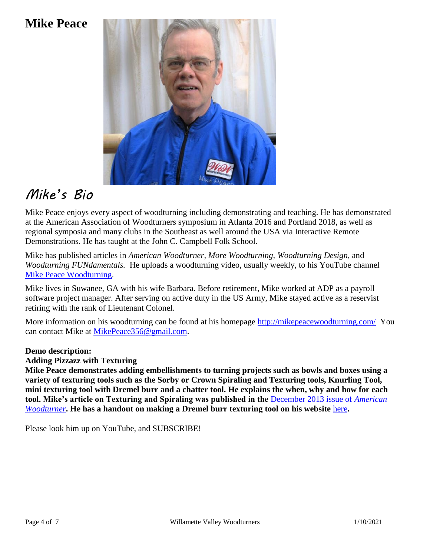# **Mike Peace**



# *Mike's Bio*

Mike Peace enjoys every aspect of woodturning including demonstrating and teaching. He has demonstrated at the American Association of Woodturners symposium in Atlanta 2016 and Portland 2018, as well as regional symposia and many clubs in the Southeast as well around the USA via Interactive Remote Demonstrations. He has taught at the John C. Campbell Folk School.

Mike has published articles in *American Woodturner, More Woodturning, Woodturning Design,* and *Woodturning FUNdamentals.* He uploads a woodturning video, usually weekly, to his YouTube channel [Mike Peace Woodturning.](https://mikepeacewoodturning.com/)

Mike lives in Suwanee, GA with his wife Barbara. Before retirement, Mike worked at ADP as a payroll software project manager. After serving on active duty in the US Army, Mike stayed active as a reservist retiring with the rank of Lieutenant Colonel.

More information on his woodturning can be found at his homepage<http://mikepeacewoodturning.com/>You can contact Mike at [MikePeace356@gmail.com.](file:///e:/Users/Mike/Documents/_Demonstrating%20woodturning/_Demo%20Topics/Texturing/Texturing%20Demo%20package/MikePeace356@gmail.com)

### **Demo description:**

### **Adding Pizzazz with Texturing**

**Mike Peace demonstrates adding embellishments to turning projects such as bowls and boxes using a variety of texturing tools such as the Sorby or Crown Spiraling and Texturing tools, Knurling Tool, mini texturing tool with Dremel burr and a chatter tool. He explains the when, why and how for each tool. Mike's article on Texturing and Spiraling was published in the** [December 2013 issue of](http://www.mikepeacewoodturning.com/wp-content/uploads/2019/04/TexturingSpiraling_AW_1213.pdf) *American [Woodturner](http://www.mikepeacewoodturning.com/wp-content/uploads/2019/04/TexturingSpiraling_AW_1213.pdf)*. He has a handout on making a Dremel burr texturing tool on his website [here](http://www.mikepeacewoodturning.com/wp-content/uploads/2020/01/Rotary-Texturing-tool-01282020.pdf).

Please look him up on YouTube, and SUBSCRIBE!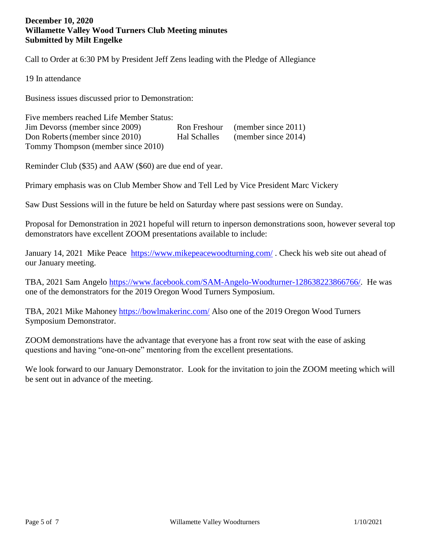#### **December 10, 2020 Willamette Valley Wood Turners Club Meeting minutes Submitted by Milt Engelke**

Call to Order at 6:30 PM by President Jeff Zens leading with the Pledge of Allegiance

19 In attendance

Business issues discussed prior to Demonstration:

Five members reached Life Member Status: Jim Devorss (member since 2009) Ron Freshour (member since 2011) Don Roberts(member since 2010) Hal Schalles (member since 2014) Tommy Thompson (member since 2010)

Reminder Club (\$35) and AAW (\$60) are due end of year.

Primary emphasis was on Club Member Show and Tell Led by Vice President Marc Vickery

Saw Dust Sessions will in the future be held on Saturday where past sessions were on Sunday.

Proposal for Demonstration in 2021 hopeful will return to inperson demonstrations soon, however several top demonstrators have excellent ZOOM presentations available to include:

January 14, 2021 Mike Peace <https://www.mikepeacewoodturning.com/> . Check his web site out ahead of our January meeting.

TBA, 2021 Sam Angelo [https://www.facebook.com/SAM-Angelo-Woodturner-128638223866766/.](https://www.facebook.com/SAM-Angelo-Woodturner-128638223866766/) He was one of the demonstrators for the 2019 Oregon Wood Turners Symposium.

TBA, 2021 Mike Mahoney<https://bowlmakerinc.com/> Also one of the 2019 Oregon Wood Turners Symposium Demonstrator.

ZOOM demonstrations have the advantage that everyone has a front row seat with the ease of asking questions and having "one-on-one" mentoring from the excellent presentations.

We look forward to our January Demonstrator. Look for the invitation to join the ZOOM meeting which will be sent out in advance of the meeting.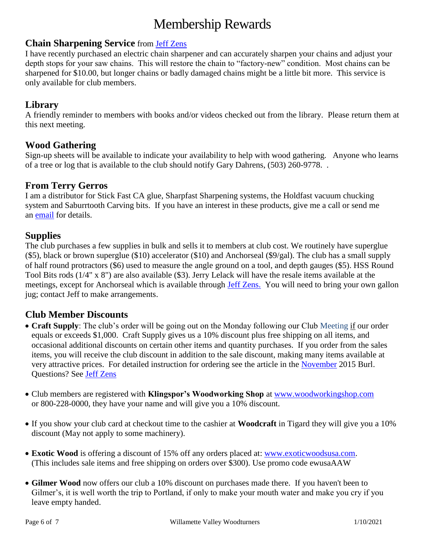# Membership Rewards

### **Chain Sharpening Service** from [Jeff Zens](mailto:PrezWVW@gmail.com)

I have recently purchased an electric chain sharpener and can accurately sharpen your chains and adjust your depth stops for your saw chains. This will restore the chain to "factory-new" condition. Most chains can be sharpened for \$10.00, but longer chains or badly damaged chains might be a little bit more. This service is only available for club members.

### **Library**

A friendly reminder to members with books and/or videos checked out from the library. Please return them at this next meeting.

### **Wood Gathering**

Sign-up sheets will be available to indicate your availability to help with wood gathering. Anyone who learns of a tree or log that is available to the club should notify Gary Dahrens, (503) 260-9778. .

### **From Terry Gerros**

I am a distributor for Stick Fast CA glue, Sharpfast Sharpening systems, the Holdfast vacuum chucking system and Saburrtooth Carving bits. If you have an interest in these products, give me a call or send me an [email](mailto:gerrost@yahoo.com) for details.

### **Supplies**

The club purchases a few supplies in bulk and sells it to members at club cost. We routinely have superglue (\$5), black or brown superglue (\$10) accelerator (\$10) and Anchorseal (\$9/gal). The club has a small supply of half round protractors (\$6) used to measure the angle ground on a tool, and depth gauges (\$5). HSS Round Tool Bits rods (1/4" x 8") are also available (\$3). Jerry Lelack will have the resale items available at the meetings, except for Anchorseal which is available through [Jeff Zens.](mailto:PrezWVW@gmail.com) You will need to bring your own gallon jug; contact Jeff to make arrangements.

### **Club Member Discounts**

- **Craft Supply**: The club's order will be going out on the Monday following our Club Meeting if our order equals or exceeds \$1,000. Craft Supply gives us a 10% discount plus free shipping on all items, and occasional additional discounts on certain other items and quantity purchases. If you order from the sales items, you will receive the club discount in addition to the sale discount, making many items available at very attractive prices. For detailed instruction for ordering see the article in the [November](http://www.willamettevalleywoodturners.com/newsletters/2015_11_WVW_Newsletter.pdf) 2015 Burl. Questions? See [Jeff Zens](mailto:PrezWVW@gmail.com)
- Club members are registered with **Klingspor's Woodworking Shop** at [www.woodworkingshop.com](http://www.woodworkingshop.com/)  or 800-228-0000, they have your name and will give you a 10% discount.
- If you show your club card at checkout time to the cashier at **Woodcraft** in Tigard they will give you a 10% discount (May not apply to some machinery).
- **Exotic Wood** is offering a discount of 15% off any orders placed at: [www.exoticwoodsusa.com.](http://www.exoticwoodsusa.com/) (This includes sale items and free shipping on orders over \$300). Use promo code ewusaAAW
- **Gilmer Wood** now offers our club a 10% discount on purchases made there. If you haven't been to Gilmer's, it is well worth the trip to Portland, if only to make your mouth water and make you cry if you leave empty handed.